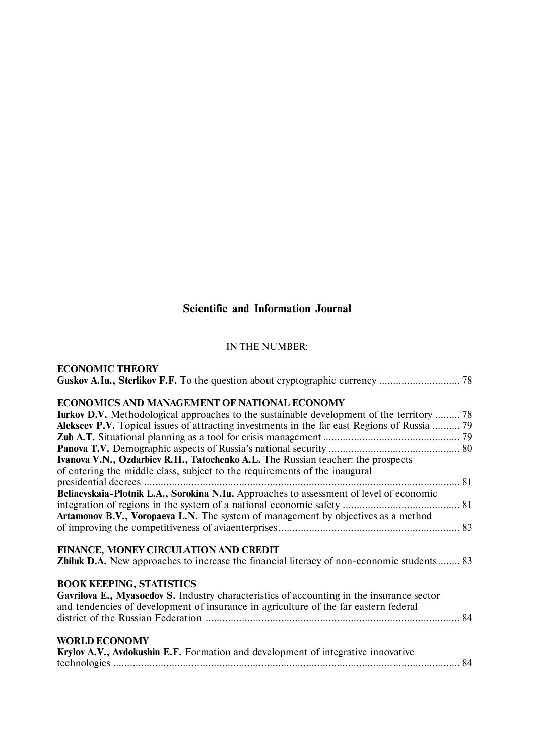# **Scientific and Information Journal**

#### IN THE NUMBER:

**ECONOMIC THEORY**

| ECONOMICS AND MANAGEMENT OF NATIONAL ECONOMY                                                                                                                                                                         |
|----------------------------------------------------------------------------------------------------------------------------------------------------------------------------------------------------------------------|
| <b>Iurkov D.V.</b> Methodological approaches to the sustainable development of the territory  78                                                                                                                     |
| Alekseev P.V. Topical issues of attracting investments in the far east Regions of Russia  79                                                                                                                         |
|                                                                                                                                                                                                                      |
|                                                                                                                                                                                                                      |
| Ivanova V.N., Ozdarbiev R.H., Tatochenko A.L. The Russian teacher: the prospects<br>of entering the middle class, subject to the requirements of the inaugural                                                       |
| presidential decrees                                                                                                                                                                                                 |
| Beliaevskaia-Plotnik L.A., Sorokina N.Iu. Approaches to assessment of level of economic                                                                                                                              |
|                                                                                                                                                                                                                      |
| Artamonov B.V., Voropaeva L.N. The system of management by objectives as a method                                                                                                                                    |
|                                                                                                                                                                                                                      |
| FINANCE, MONEY CIRCULATION AND CREDIT                                                                                                                                                                                |
| <b>Zhiluk D.A.</b> New approaches to increase the financial literacy of non-economic students 83                                                                                                                     |
| <b>BOOK KEEPING, STATISTICS</b><br>Gavrilova E., Myasoedov S. Industry characteristics of accounting in the insurance sector<br>and tendencies of development of insurance in agriculture of the far eastern federal |
|                                                                                                                                                                                                                      |
| <b>WORLD ECONOMY</b><br>Krylov A.V., Avdokushin E.F. Formation and development of integrative innovative                                                                                                             |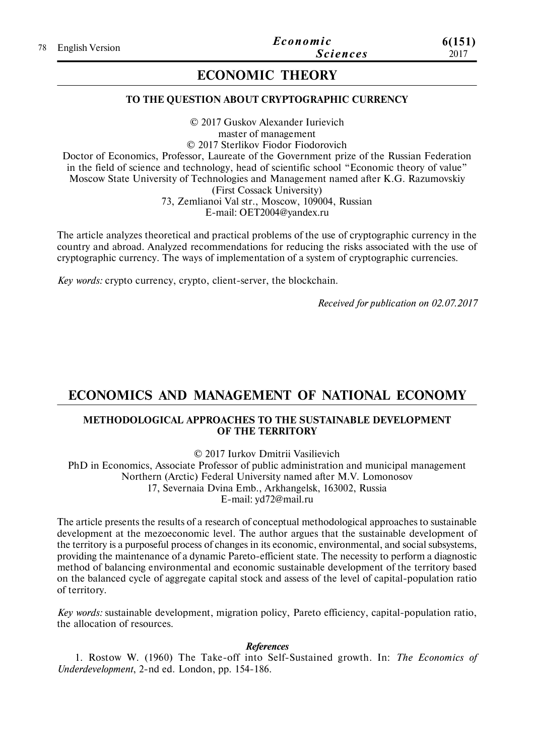# **ECONOMIC THEORY**

### **TO THE QUESTION ABOUT CRYPTOGRAPHIC CURRENCY**

© 2017 Guskov Alexander Iurievich master of management © 2017 Sterlikov Fiodor Fiodorovich Doctor of Economics, Professor, Laureate of the Government prize of the Russian Federation in the field of science and technology, head of scientific school "Economic theory of value" Moscow State University of Technologies and Management named after K.G. Razumovskiy (First Cossack University) 73, Zemlianoi Val str., Moscow, 109004, Russian E-mail: OET2004@yandex.ru

The article analyzes theoretical and practical problems of the use of cryptographic currency in the country and abroad. Analyzed recommendations for reducing the risks associated with the use of cryptographic currency. The ways of implementation of a system of cryptographic currencies.

*Key words:* crypto currency, crypto, client-server, the blockchain.

*Received for publication on 02.07.2017*

## **ECONOMICS AND MANAGEMENT OF NATIONAL ECONOMY**

### **METHODOLOGICAL APPROACHES TO THE SUSTAINABLE DEVELOPMENT OF THE TERRITORY**

© 2017 Iurkov Dmitrii Vasilievich

PhD in Economics, Associate Professor of public administration and municipal management Northern (Arctic) Federal University named after M.V. Lomonosov 17, Severnaia Dvina Emb., Arkhangelsk, 163002, Russia E-mail: yd72@mail.ru

The article presents the results of a research of conceptual methodological approaches to sustainable development at the mezoeconomic level. The author argues that the sustainable development of the territory is a purposeful process of changes in its economic, environmental, and social subsystems, providing the maintenance of a dynamic Pareto-efficient state. The necessity to perform a diagnostic method of balancing environmental and economic sustainable development of the territory based on the balanced cycle of aggregate capital stock and assess of the level of capital-population ratio of territory.

*Key words:* sustainable development, migration policy, Pareto efficiency, capital-population ratio, the allocation of resources.

*References*

1. Rostow W. (1960) The Take-off into Self-Sustained growth. In: *The Economics of Underdevelopment*, 2-nd ed. London, рр. 154-186.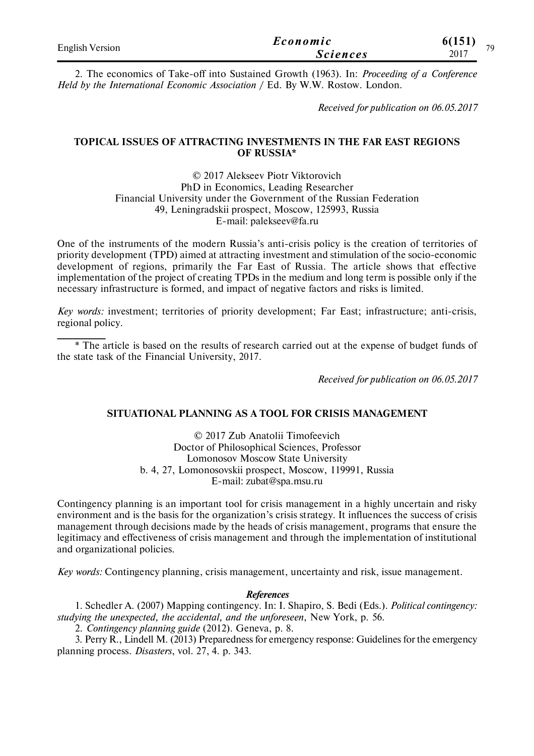| <b>English Version</b> | Economic        | 6(151)<br>70 |
|------------------------|-----------------|--------------|
|                        | <i>Sciences</i> | 2017         |

2. The economics of Take-off into Sustained Growth (1963). In: *Proceeding of a Conference Held by the International Economic Association* / Ed. By W.W. Rostow. London.

*Received for publication on 06.05.2017*

#### **TOPICAL ISSUES OF ATTRACTING INVESTMENTS IN THE FAR EAST REGIONS OF RUSSIA\***

© 2017 Alekseev Piotr Viktorovich PhD in Economics, Leading Researcher Financial University under the Government of the Russian Federation 49, Leningradskii prospect, Moscow, 125993, Russia E-mail: palekseev@fa.ru

One of the instruments of the modern Russia's anti-crisis policy is the creation of territories of priority development (TPD) aimed at attracting investment and stimulation of the socio-economic development of regions, primarily the Far East of Russia. The article shows that effective implementation of the project of creating TPDs in the medium and long term is possible only if the necessary infrastructure is formed, and impact of negative factors and risks is limited.

*Key words:* investment; territories of priority development; Far East; infrastructure; anti-crisis, regional policy.

\* The article is based on the results of research carried out at the expense of budget funds of the state task of the Financial University, 2017.

*Received for publication on 06.05.2017*

#### **SITUATIONAL PLANNING AS A TOOL FOR CRISIS MANAGEMENT**

© 2017 Zub Anatolii Timofeevich Doctor of Philosophical Sciences, Professor Lomonosov Moscow State University b. 4, 27, Lomonosovskii prospect, Moscow, 119991, Russia E-mail: zubat@spa.msu.ru

Contingency planning is an important tool for crisis management in a highly uncertain and risky environment and is the basis for the organization's crisis strategy. It influences the success of crisis management through decisions made by the heads of crisis management, programs that ensure the legitimacy and effectiveness of crisis management and through the implementation of institutional and organizational policies.

*Key words:* Contingency planning, crisis management, uncertainty and risk, issue management.

#### *References*

1. Schedler A. (2007) Mapping contingency. In: I. Shapiro, S. Bedi (Eds.). *Political contingency: studying the unexpected, the accidental, and the unforeseen*, New York, р. 56.

2. *Contingency planning guide* (2012). Geneva, p. 8.

3. Perry R., Lindell M. (2013) Preparedness for emergency response: Guidelines for the emergency planning process. *Disasters*, vol. 27, 4. p. 343.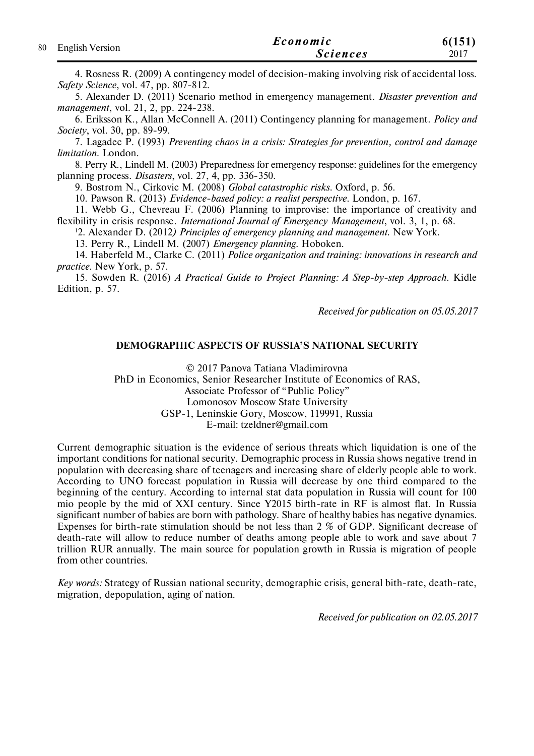|                    | Economic        | 6(151) |
|--------------------|-----------------|--------|
| 80 English Version | <b>Sciences</b> | 2017   |

4. Rosness R. (2009) A contingency model of decision-making involving risk of accidental loss. *Safety Science*, vol. 47, pp. 807-812.

5. Alexander D. (2011) Scenario method in emergency mаnagement. *Disaster prevention and mаnagement*, vol. 21, 2, pp. 224-238.

6. Eriksson К., Allan McConnell А. (2011) Contingency planning for management. *Policy and Society*, vol. 30, pp. 89-99.

7. Lagadec P. (1993) *Preventing chaos in a crisis: Strategies for prevention, control and damage limitation*. London.

8. Perry R., Lindell M. (2003) Preparedness for emergency response: guidelines for the emergency planning process. *Disasters*, vol. 27, 4, pp. 336-350.

9. Bostrom N., Cirkovic M. (2008) *Global catastrophic risks*. Oxford, р. 56.

10. Pawson R. (2013) *Evidence-based policy: а realist perspective*. London, р. 167.

11. Webb G., Chevreau F. (2006) Planning to improvise: the importance of creativity and flexibility in crisis response. *International Journal of Emergency Management*, vol. 3, 1, р. 68.

<sup>1</sup>2. Alexander D. (2012*) Principles of emergency planning and management*. New York.

13. Perry R., Lindell M. (2007) *Emergency planning*. Hoboken.

14. Haberfeld М., Clarke С. (2011) *Police organization and training: innovations in research and practice*. New York, р. 57.

15. Sowden R. (2016) *A Practical Guide to Project Planning: A Step-by-step Approach*. Kidle Edition, p. 57.

*Received for publication on 05.05.2017*

#### **DEMOGRAPHIC ASPECTS OF RUSSIA'S NATIONAL SECURITY**

© 2017 Panova Tatiana Vladimirovna PhD in Economics, Senior Researcher Institute of Economics of RAS, Associate Professor of "Public Policy" Lomonosov Moscow State University GSP-1, Leninskie Gory, Moscow, 119991, Russia E-mail: tzeldner@gmail.com

Current demographic situation is the evidence of serious threats which liquidation is one of the important conditions for national security. Demographic process in Russia shows negative trend in population with decreasing share of teenagers and increasing share of elderly people able to work. According to UNO forecast population in Russia will decrease by one third compared to the beginning of the century. According to internal stat data population in Russia will count for 100 mio people by the mid of XXI century. Since Y2015 birth-rate in RF is almost flat. In Russia significant number of babies are born with pathology. Share of healthy babies has negative dynamics. Expenses for birth-rate stimulation should be not less than 2 % of GDP. Significant decrease of death-rate will allow to reduce number of deaths among people able to work and save about 7 trillion RUR annually. The main source for population growth in Russia is migration of people from other countries.

*Key words:* Strategy of Russian national security, demographic crisis, general bith-rate, death-rate, migration, depopulation, aging of nation.

*Received for publication on 02.05.2017*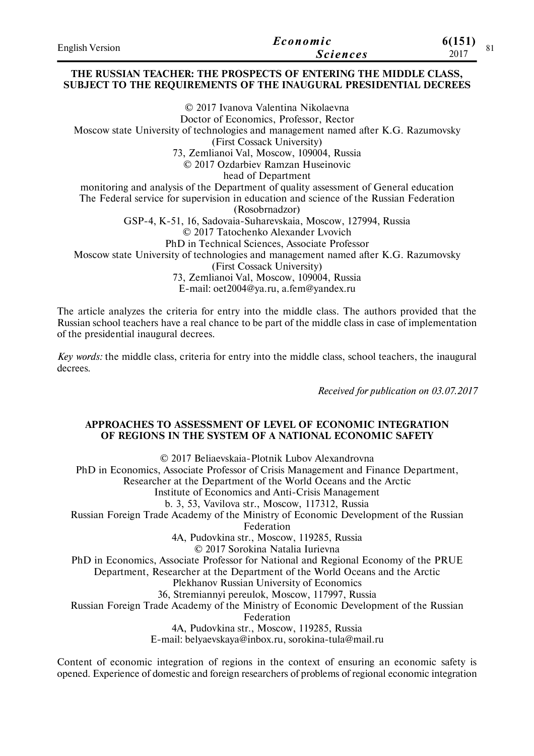| <b>English Version</b> | Economic        | 6(151)     |  |
|------------------------|-----------------|------------|--|
|                        | <b>Sciences</b> | ΟI<br>2017 |  |

#### **THE RUSSIAN TEACHER: THE PROSPECTS OF ENTERING THE MIDDLE CLASS, SUBJECT TO THE REQUIREMENTS OF THE INAUGURAL PRESIDENTIAL DECREES**

© 2017 Ivanova Valentina Nikolaevna Doctor of Economics, Professor, Rector Moscow state University of technologies and management named after K.G. Razumovsky (First Cossack University) 73, Zemlianoi Val, Moscow, 109004, Russia © 2017 Ozdarbiev Ramzan Huseinovic head of Department monitoring and analysis of the Department of quality assessment of General education The Federal service for supervision in education and science of the Russian Federation (Rosobrnadzor) GSP-4, K-51, 16, Sadovaia-Suharevskaia, Moscow, 127994, Russia © 2017 Tatochenko Alexander Lvovich PhD in Technical Sciences, Associate Professor Moscow state University of technologies and management named after K.G. Razumovsky (First Cossack University) 73, Zemlianoi Val, Moscow, 109004, Russia E-mail: oet2004@ya.ru, a.fem@yandex.ru

The article analyzes the criteria for entry into the middle class. The authors provided that the Russian school teachers have a real chance to be part of the middle class in case of implementation of the presidential inaugural decrees.

*Key words:* the middle class, criteria for entry into the middle class, school teachers, the inaugural decrees.

*Received for publication on 03.07.2017*

#### **APPROACHES TO ASSESSMENT OF LEVEL OF ECONOMIC INTEGRATION OF REGIONS IN THE SYSTEM OF A NATIONAL ECONOMIC SAFETY**

© 2017 Beliaevskaia-Plotnik Lubov Alexandrovna PhD in Economics, Associate Professor of Crisis Management and Finance Department, Researcher at the Department of the World Oceans and the Arctic Institute of Economics and Anti-Crisis Management b. 3, 53, Vavilova str., Moscow, 117312, Russia Russian Foreign Trade Academy of the Ministry of Economic Development of the Russian Federation 4A, Pudovkina str., Moscow, 119285, Russia © 2017 Sorokina Natalia Iurievna PhD in Economics, Associate Professor for National and Regional Economy of the PRUE Department, Researcher at the Department of the World Oceans and the Arctic Plekhanov Russian University of Economics 36, Stremiannyi pereulok, Moscow, 117997, Russia Russian Foreign Trade Academy of the Ministry of Economic Development of the Russian Federation 4A, Pudovkina str., Moscow, 119285, Russia E-mail: belyaevskaya@inbox.ru, sorokina-tula@mail.ru

Content of economic integration of regions in the context of ensuring an economic safety is opened. Experience of domestic and foreign researchers of problems of regional economic integration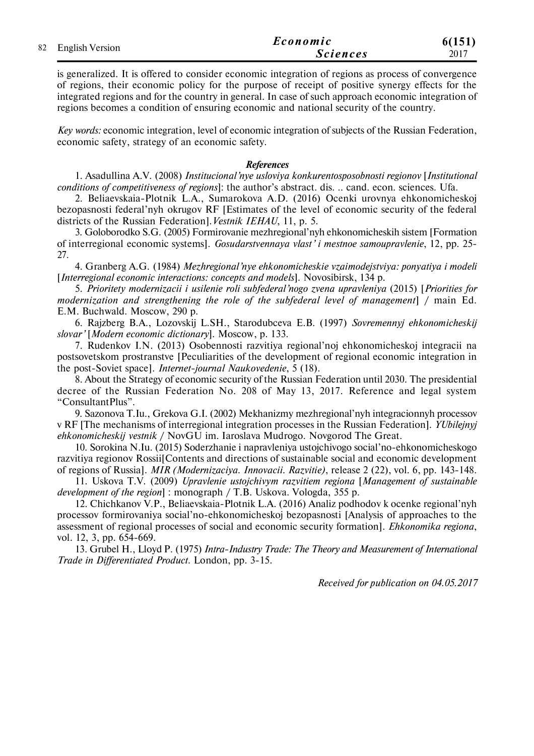|  |                    | Economic        | 6(151) |
|--|--------------------|-----------------|--------|
|  | 82 English Version | <b>Sciences</b> | 2017   |

is generalized. It is offered to consider economic integration of regions as process of convergence of regions, their economic policy for the purpose of receipt of positive synergy effects for the integrated regions and for the country in general. In case of such approach economic integration of regions becomes a condition of ensuring economic and national security of the country.

*Key words:* economic integration, level of economic integration of subjects of the Russian Federation, economic safety, strategy of an economic safety.

#### *References*

1. Asadullina A.V. (2008) *Institucional'nye usloviya konkurentosposobnosti regionov* [*Institutional conditions of competitiveness of regions*]: the author's abstract. dis. .. cand. econ. sciences. Ufa.

2. Beliaevskaia-Plotnik L.A., Sumarokova A.D. (2016) Ocenki urovnya ehkonomicheskoj bezopasnosti federal'nyh okrugov RF [Estimates of the level of economic security of the federal districts of the Russian Federation].*Vestnik IEHAU*, 11, p. 5.

3. Goloborodko S.G. (2005) Formirovanie mezhregional'nyh ehkonomicheskih sistem [Formation of interregional economic systems]. *Gosudarstvennaya vlast' i mestnoe samoupravlenie*, 12, pp. 25- 27.

4. Granberg A.G. (1984) *Mezhregional'nye ehkonomicheskie vzaimodejstviya: ponyatiya i modeli* [*Interregional economic interactions: concepts and models*]. Novosibirsk, 134 p.

5. *Prioritety modernizacii i usilenie roli subfederal'nogo zvena upravleniya* (2015) [*Priorities for modernization and strengthening the role of the subfederal level of management*] / main Ed. E.M. Buchwald. Moscow, 290 p.

6. Rajzberg B.A., Lozovskij L.SH., Starodubceva E.B. (1997) *Sovremennyj ehkonomicheskij slovar'* [*Modern economic dictionary*]. Moscow, p. 133.

7. Rudenkov I.N. (2013) Osobennosti razvitiya regional'noj ehkonomicheskoj integracii na postsovetskom prostranstve [Peculiarities of the development of regional economic integration in the post-Soviet space]. *Internet-journal Naukovedenie*, 5 (18).

8. About the Strategy of economic security of the Russian Federation until 2030. The presidential decree of the Russian Federation No. 208 of May 13, 2017. Reference and legal system "ConsultantPlus".

9. Sazonova T.Iu., Grekova G.I. (2002) Mekhanizmy mezhregional'nyh integracionnyh processov v RF [The mechanisms of interregional integration processes in the Russian Federation]. *YUbilejnyj ehkonomicheskij vestnik* / NovGU im. Iaroslava Mudrogo. Novgorod The Great.

10. Sorokina N.Iu. (2015) Soderzhanie i napravleniya ustojchivogo social'no-ehkonomicheskogo razvitiya regionov Rossii[Contents and directions of sustainable social and economic development of regions of Russia]. *MIR (Modernizaciya. Innovacii. Razvitie)*, release 2 (22), vol. 6, pp. 143-148.

11. Uskova T.V. (2009) *Upravlenie ustojchivym razvitiem regiona* [*Management of sustainable development of the region*] : monograph / Т.В. Uskova. Vologda, 355 p.

12. Chichkanov V.P., Beliaevskaia-Plotnik L.A. (2016) Analiz podhodov k ocenke regional'nyh processov formirovaniya social'no-ehkonomicheskoj bezopasnosti [Analysis of approaches to the assessment of regional processes of social and economic security formation]. *Ehkonomika regiona*, vol. 12, 3, pp. 654-669.

13. Grubel H., Lloyd P. (1975) *Intra-Industry Trade: The Theory and Measurement of International Trade in Differentiated Product*. London, pp. 3-15.

*Received for publication on 04.05.2017*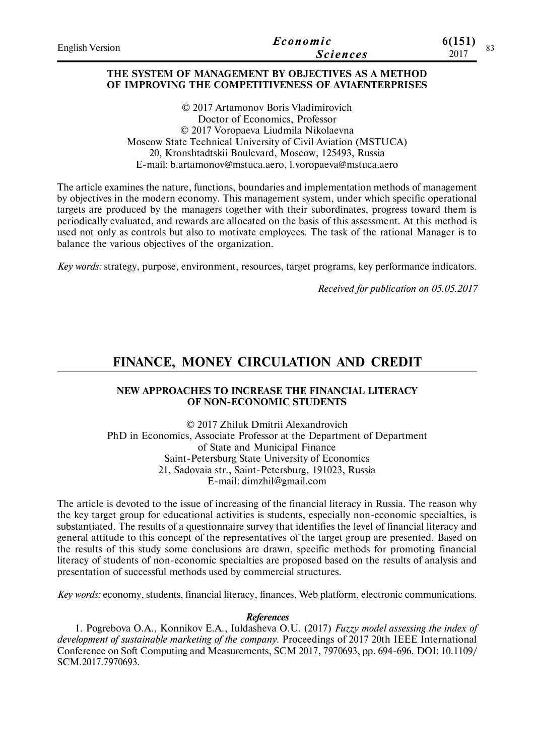| <b>English Version</b> | Economic        | 6(151) |
|------------------------|-----------------|--------|
|                        | <b>Sciences</b> | 2017   |

#### **THE SYSTEM OF MANAGEMENT BY OBJECTIVES AS A METHOD OF IMPROVING THE COMPETITIVENESS OF AVIAENTERPRISES**

© 2017 Artamonov Boris Vladimirovich Doctor of Economics, Professor © 2017 Voropaeva Liudmila Nikolaevna Moscow State Technical University of Civil Aviation (MSTUCA) 20, Kronshtadtskii Boulevard, Moscow, 125493, Russia E-mail: b.artamonov@mstuca.aero, l.voropaeva@mstuca.aero

The article examines the nature, functions, boundaries and implementation methods of management by objectives in the modern economy. This management system, under which specific operational targets are produced by the managers together with their subordinates, progress toward them is periodically evaluated, and rewards are allocated on the basis of this assessment. At this method is used not only as controls but also to motivate employees. The task of the rational Manager is to balance the various objectives of the organization.

*Key words:* strategy, purpose, environment, resources, target programs, key performance indicators.

*Received for publication on 05.05.2017*

# **FINANCE, MONEY CIRCULATION AND CREDIT**

#### **NEW APPROACHES TO INCREASE THE FINANCIAL LITERACY OF NON-ECONOMIC STUDENTS**

© 2017 Zhiluk Dmitrii Alexandrovich PhD in Economics, Associate Professor at the Department of Department of State and Municipal Finance Saint-Petersburg State University of Economics 21, Sadovaia str., Saint-Petersburg, 191023, Russia E-mail: dimzhil@gmail.com

The article is devoted to the issue of increasing of the financial literacy in Russia. The reason why the key target group for educational activities is students, especially non-economic specialties, is substantiated. The results of a questionnaire survey that identifies the level of financial literacy and general attitude to this concept of the representatives of the target group are presented. Based on the results of this study some conclusions are drawn, specific methods for promoting financial literacy of students of non-economic specialties are proposed based on the results of analysis and presentation of successful methods used by commercial structures.

*Key words:* economy, students, financial literacy, finances, Web platform, electronic communications.

#### *References*

1. Pogrebova O.A., Konnikov E.A., Iuldasheva O.U. (2017) *Fuzzy model assessing the index of development of sustainable marketing of the company*. Proceedings of 2017 20th IEEE International Conference on Soft Computing and Measurements, SCM 2017, 7970693, pp. 694-696. DOI: 10.1109/ SCM.2017.7970693.